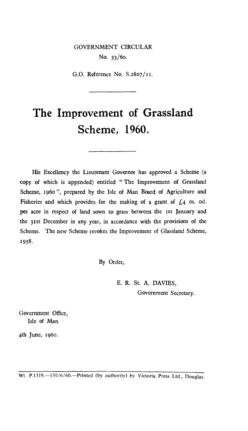## GOVERNMENT CIRCULAR No. 33/6o.

G.O. Reference No. S.28o7/ii.

## **The Improvement of Grassland Scheme, 1960.**

His Excellency the Lieutenant Governor has approved a Scheme (a copy of which is appended) entitled " The Improvement of Grassland Scheme, 1960 ", prepared by the Isle of Man Board of Agriculture and Fisheries and which provides for the making of a grant of  $\zeta_4$  os. od. per acre in respect of land sown to grass between the 1st January and the 31st December in any year, in accordance with the provisions of the Scheme. The new Scheme revokes the Improvement of Glassland Scheme, 1958.

By Order,

E. R. St. A. DAVIES, Government Secretary.

Government Office, Isle of Man.

4th June, 1960.

Wt. P.1319.-150/6/60.--Printed (by authority) by Victoria Press Ltd., Douglas.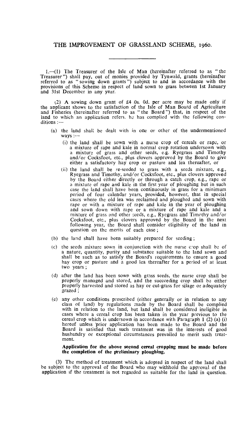1.—(1) The Treasurer of the Isle of Man (hereinafter referred to as " the Treasurer") shall pay, out of monies provided by Tynwald, grants (hereinafter referred to as " sowing down grants ") subject to and in accordance with the provisions of this Scheme in respect of land sown to grass between 1st January and 31st December in any year.

(2) A sowing down grant of £4 Os. Od. per acre may be made only if the applicant shows to the satisfaction of the Isle of Man Board of Agriculture and Fisheries (hereinafter referred to as " the Board") that, in respect of the land to which an application refers, he has complied with the following conditions :-

- (a) the land shall be dealt with in one or other of the undermentioned  $ways$  :-
	- (i) the land shall be sown with a nurse crop of cereals or rape, or a mixture of rape and kale in normal crop rotation undersown with a mixture of grass and other seeds, e.g. Ryegrass and Timothy a mixture of grass and other seeds, e.g. Ryegrass and and/or Cocksfoot, etc., plus clovers approved by the Board to give either a satisfactory hay crop or pasture and lea thereafter, or
	- (ii) the land shall be re-seeded to grass with a seeds mixture, e.g., Ryegrass and Timothy, and/or Cocksfoot, etc., plus clovers approved by the Board either directly or through a catch crop, e.g., rape or a mixture of rape and kale in the first year of ploughing but in such case the land shall have been continuously in grass for a minimum period of four calendar years, provided, however, that in special cases where the old lea was reclaimed and ploughed and sown with rape or with a mixture of rape and kale in the year of ploughing and sown down with rape or a mixture of rape and kale and a mixture of grass and other weds, e.g., Ryegrass and Timothy and/or Cocksfoot, etc., plus clovers approved by the Board in the next following year, the Board shall consider eligibility of the land in question on the merits of each case ;
- (b) the land shall have been suitably prepared for seeding ;
- (c) the seeds mixture sown in conjunction with the nurse crop shall be of a nature, quantity, purity and substance suitable to the land sown and shall be such as to satisfy the Board's requirements to ensure a good hay crop or pasture and a good lea thereafter for a period of at least two years ;
- (d) after the land has been sown with grass seeds, the nurse crop shall be properly managed and stored, and the succeeding crop shall be either properly harvested and stored as hay or cut-grass for silage or adequately grazed ;
- any other conditions prescribed (either generally or in relation to any (e) any other conditions prescribed (either generally or in relation to any class of land) by regulations made by the Board shall be complied with in relation to the land, but land shall be considered ineligible in cases where a cereal crop has been taken in the year previous to the cereal crop which is undersown in accordance with Paragraph **1** (2) (a) (i) hereof unless 'prior application has been made to the Board and the Board is satisfied that such treatment was in the interests of good husbandry or exceptional circumstances prevailed to merit such treatment.

## **Application for the above second cereal cropping must be made before the completion of the preliminary ploughing.**

(3) The method of treatment which is adopted in respect of the land shall be subject to the approval of the Board who may withhold the approval of the application if the treatment is not regarded as suitable for the land in question.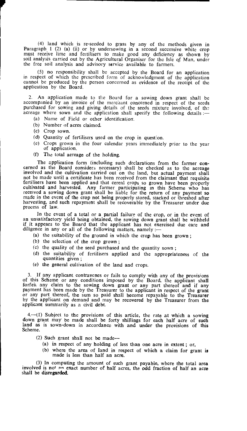(4) land which is re-seeded to grass by any of the methods given in Paragraph 1 (2) (a) (ii) or by undersowing in a second successive white crop must receive lime and fertilisers to make good any deficiency as shown by soil analysis carried out by the Agricultural Organiser for the Isle of Man, under the free soil analysis and advisory service available to farmers.

(5) no responsibility shall be accepted by the Board for an application in respect of which the prescribed form of acknowledgment of the application cannot be produced by the person concerned as evidence of the receipt of the application by the Board.

2. An application made to the Board for a sowing down grant shall be accompanied by an invoice of the merchant concerned in respect of the seeds purchased for sowing and giving details of the seeds mixture involved, of the acreage where sown and the application shall specify the following details :-

- (a) Name of Field or other identification.
- (b) Number of acres claimed.
- (c) Crop sown.
- (d) Quantity of fertilisers used on the crop in question.
- (e) Crops grown in the four calendar years immediately prior to the year of application.
- (f) The total acreage of the holding.

The application form (including such declarations from the farmer concerned as the Board considers necessary) shall be checked as to the acreage involved and the cultivation carried out on the land, but actual payment shall not be made until a certificate has been received from the claimant that requisite fertilisers have been applied and that cereal crops so grown have been properly cultivated and harvested. Any farmer participating in this Scheme who has received a sowing down grant shall be liable for the return of any payment so made in the event of the crop not being properly stored, stacked or threshed after harvesting, and such repayment shall be recoverable by the Treasurer under due process of law.

In the event of a total or a partial failure of the crop, or in the event of an unsatisfactory yield being obtained, the sowing down grant shall be withheld if it appears to the Board that the applicant has not exercised due care and diligence in any or all of the following matters, namely :—

- (a) the suitability of the ground in which the crop has been grown ;
- (b) the selection of the crop grown ;
- (c) the quality of the seed purchased and the quantity sown ;
- (d) the suitability of fertilisers applied and the appropriateness of the quantities given ;
- (e) the general cultivation of the land and crops.

3. If any applicant contravenes or fails to comply with any of the provisions of this Scheme or any conditions imposed by the Board, the applicant shall forfeit any claim to the sowing down grant or any part thereof and if payment has been made by the Treasurer to the applicant in respect of the grant or any part thereof, the sum so paid shall become repayable to the Treasurer by the applicant on demand and may be recovered by the Treasurer from the applicant summarily as a civil debt.

4.—(l) Subject to the provisions of this article, the rate at which a sowing down grant may be made shall be forty shillings for each half acre of such land as is sown-down in accordance with and under the provisions of this Scheme.

- (2) Such grant shall not be made—
	- (a) in respect of any holding of less than one acre in extent ; or,
	- (b) where the area of land in respect of which a claim for grant is made is less than half an acre.

(3) In computing the amount of such grant payable, where the total area involved is not an exact number of half acres, the odd fraction of half an acre shall be disregarded.